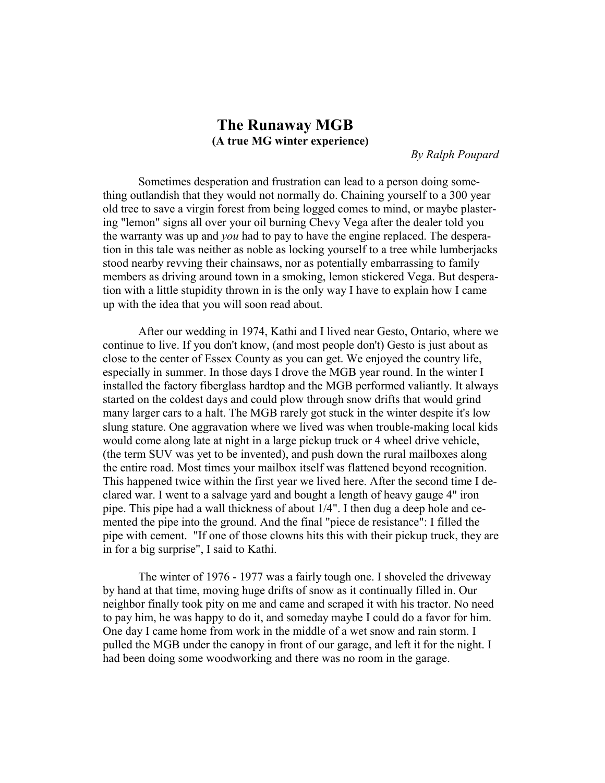## **The Runaway MGB (A true MG winter experience)**

*By Ralph Poupard*

Sometimes desperation and frustration can lead to a person doing something outlandish that they would not normally do. Chaining yourself to a 300 year old tree to save a virgin forest from being logged comes to mind, or maybe plastering "lemon" signs all over your oil burning Chevy Vega after the dealer told you the warranty was up and *you* had to pay to have the engine replaced. The desperation in this tale was neither as noble as locking yourself to a tree while lumberjacks stood nearby revving their chainsaws, nor as potentially embarrassing to family members as driving around town in a smoking, lemon stickered Vega. But desperation with a little stupidity thrown in is the only way I have to explain how I came up with the idea that you will soon read about.

 After our wedding in 1974, Kathi and I lived near Gesto, Ontario, where we continue to live. If you don't know, (and most people don't) Gesto is just about as close to the center of Essex County as you can get. We enjoyed the country life, especially in summer. In those days I drove the MGB year round. In the winter I installed the factory fiberglass hardtop and the MGB performed valiantly. It always started on the coldest days and could plow through snow drifts that would grind many larger cars to a halt. The MGB rarely got stuck in the winter despite it's low slung stature. One aggravation where we lived was when trouble-making local kids would come along late at night in a large pickup truck or 4 wheel drive vehicle, (the term SUV was yet to be invented), and push down the rural mailboxes along the entire road. Most times your mailbox itself was flattened beyond recognition. This happened twice within the first year we lived here. After the second time I declared war. I went to a salvage yard and bought a length of heavy gauge 4" iron pipe. This pipe had a wall thickness of about 1/4". I then dug a deep hole and cemented the pipe into the ground. And the final "piece de resistance": I filled the pipe with cement. "If one of those clowns hits this with their pickup truck, they are in for a big surprise", I said to Kathi.

 The winter of 1976 - 1977 was a fairly tough one. I shoveled the driveway by hand at that time, moving huge drifts of snow as it continually filled in. Our neighbor finally took pity on me and came and scraped it with his tractor. No need to pay him, he was happy to do it, and someday maybe I could do a favor for him. One day I came home from work in the middle of a wet snow and rain storm. I pulled the MGB under the canopy in front of our garage, and left it for the night. I had been doing some woodworking and there was no room in the garage.